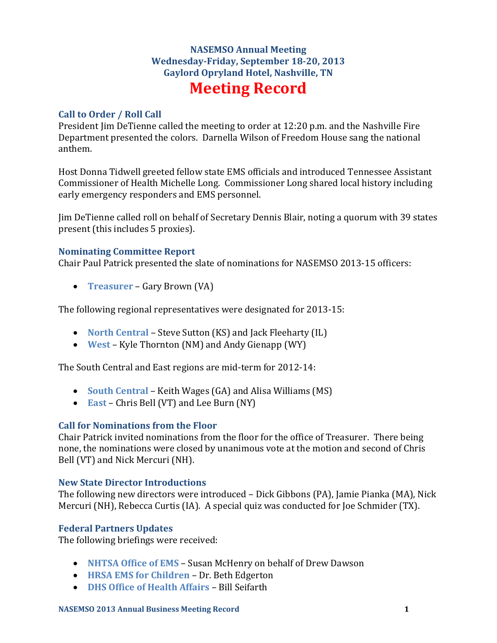# **NASEMSO Annual Meeting Wednesday-Friday, September 18-20, 2013 Gaylord Opryland Hotel, Nashville, TN Meeting Record**

## **Call to Order / Roll Call**

President Jim DeTienne called the meeting to order at 12:20 p.m. and the Nashville Fire Department presented the colors. Darnella Wilson of Freedom House sang the national anthem.

Host Donna Tidwell greeted fellow state EMS officials and introduced Tennessee Assistant Commissioner of Health Michelle Long. Commissioner Long shared local history including early emergency responders and EMS personnel.

Jim DeTienne called roll on behalf of Secretary Dennis Blair, noting a quorum with 39 states present (this includes 5 proxies).

## **Nominating Committee Report**

Chair Paul Patrick presented the slate of nominations for NASEMSO 2013-15 officers:

**Treasurer** – Gary Brown (VA)

The following regional representatives were designated for 2013-15:

- **North Central** Steve Sutton (KS) and Jack Fleeharty (IL)
- **West** Kyle Thornton (NM) and Andy Gienapp (WY)

The South Central and East regions are mid-term for 2012-14:

- **South Central** Keith Wages (GA) and Alisa Williams (MS)
- **East** Chris Bell (VT) and Lee Burn (NY)

# **Call for Nominations from the Floor**

Chair Patrick invited nominations from the floor for the office of Treasurer. There being none, the nominations were closed by unanimous vote at the motion and second of Chris Bell (VT) and Nick Mercuri (NH).

#### **New State Director Introductions**

The following new directors were introduced – Dick Gibbons (PA), Jamie Pianka (MA), Nick Mercuri (NH), Rebecca Curtis (IA). A special quiz was conducted for Joe Schmider (TX).

#### **Federal Partners Updates**

The following briefings were received:

- **NHTSA Office of EMS** Susan McHenry on behalf of Drew Dawson
- **HRSA EMS for Children** Dr. Beth Edgerton
- **DHS Office of Health Affairs** Bill Seifarth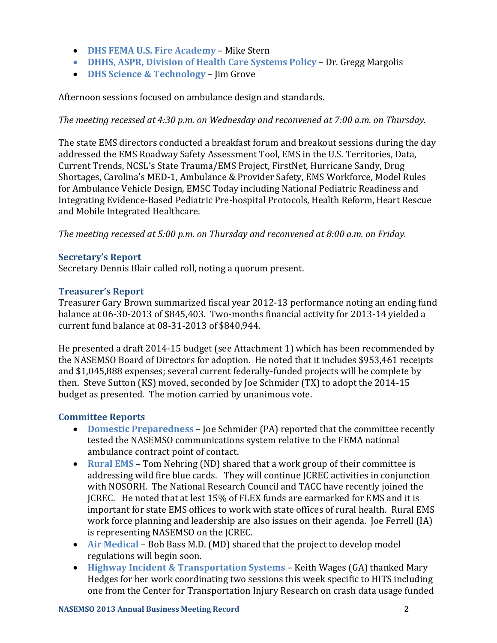- **DHS FEMA U.S. Fire Academy** Mike Stern
- **DHHS, ASPR, Division of Health Care Systems Policy Dr. Gregg Margolis**
- **DHS Science & Technology**  Jim Grove

Afternoon sessions focused on ambulance design and standards.

*The meeting recessed at 4:30 p.m. on Wednesday and reconvened at 7:00 a.m. on Thursday.*

The state EMS directors conducted a breakfast forum and breakout sessions during the day addressed the EMS Roadway Safety Assessment Tool, EMS in the U.S. Territories, Data, Current Trends, NCSL's State Trauma/EMS Project, FirstNet, Hurricane Sandy, Drug Shortages, Carolina's MED-1, Ambulance & Provider Safety, EMS Workforce, Model Rules for Ambulance Vehicle Design, EMSC Today including National Pediatric Readiness and Integrating Evidence-Based Pediatric Pre-hospital Protocols, Health Reform, Heart Rescue and Mobile Integrated Healthcare.

*The meeting recessed at 5:00 p.m. on Thursday and reconvened at 8:00 a.m. on Friday.*

## **Secretary's Report**

Secretary Dennis Blair called roll, noting a quorum present.

#### **Treasurer's Report**

Treasurer Gary Brown summarized fiscal year 2012-13 performance noting an ending fund balance at 06-30-2013 of \$845,403. Two-months financial activity for 2013-14 yielded a current fund balance at 08-31-2013 of \$840,944.

He presented a draft 2014-15 budget (see Attachment 1) which has been recommended by the NASEMSO Board of Directors for adoption. He noted that it includes \$953,461 receipts and \$1,045,888 expenses; several current federally-funded projects will be complete by then. Steve Sutton (KS) moved, seconded by Joe Schmider (TX) to adopt the 2014-15 budget as presented. The motion carried by unanimous vote.

#### **Committee Reports**

- **Domestic Preparedness** Joe Schmider (PA) reported that the committee recently tested the NASEMSO communications system relative to the FEMA national ambulance contract point of contact.
- **Rural EMS** Tom Nehring (ND) shared that a work group of their committee is addressing wild fire blue cards. They will continue JCREC activities in conjunction with NOSORH. The National Research Council and TACC have recently joined the JCREC. He noted that at lest 15% of FLEX funds are earmarked for EMS and it is important for state EMS offices to work with state offices of rural health. Rural EMS work force planning and leadership are also issues on their agenda. Joe Ferrell (IA) is representing NASEMSO on the JCREC.
- **Air Medical** Bob Bass M.D. (MD) shared that the project to develop model regulations will begin soon.
- **Highway Incident & Transportation Systems** Keith Wages (GA) thanked Mary Hedges for her work coordinating two sessions this week specific to HITS including one from the Center for Transportation Injury Research on crash data usage funded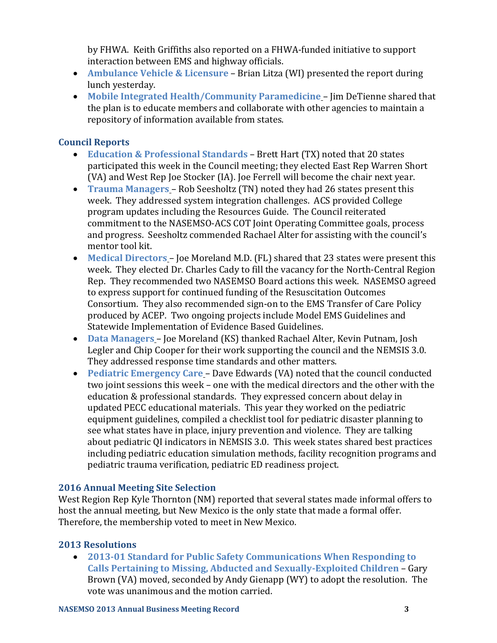by FHWA. Keith Griffiths also reported on a FHWA-funded initiative to support interaction between EMS and highway officials.

- **Ambulance Vehicle & Licensure** Brian Litza (WI) presented the report during lunch yesterday.
- **Mobile Integrated Health/Community Paramedicine** Jim DeTienne shared that the plan is to educate members and collaborate with other agencies to maintain a repository of information available from states.

# **Council Reports**

- **Education & Professional Standards** Brett Hart (TX) noted that 20 states participated this week in the Council meeting; they elected East Rep Warren Short (VA) and West Rep Joe Stocker (IA). Joe Ferrell will become the chair next year.
- **Trauma Managers** Rob Seesholtz (TN) noted they had 26 states present this week. They addressed system integration challenges. ACS provided College program updates including the Resources Guide. The Council reiterated commitment to the NASEMSO-ACS COT Joint Operating Committee goals, process and progress. Seesholtz commended Rachael Alter for assisting with the council's mentor tool kit.
- **Medical Directors** Joe Moreland M.D. (FL) shared that 23 states were present this week. They elected Dr. Charles Cady to fill the vacancy for the North-Central Region Rep. They recommended two NASEMSO Board actions this week. NASEMSO agreed to express support for continued funding of the Resuscitation Outcomes Consortium. They also recommended sign-on to the EMS Transfer of Care Policy produced by ACEP. Two ongoing projects include Model EMS Guidelines and Statewide Implementation of Evidence Based Guidelines.
- **Data Managers** Joe Moreland (KS) thanked Rachael Alter, Kevin Putnam, Josh Legler and Chip Cooper for their work supporting the council and the NEMSIS 3.0. They addressed response time standards and other matters.
- **Pediatric Emergency Care** Dave Edwards (VA) noted that the council conducted two joint sessions this week – one with the medical directors and the other with the education & professional standards. They expressed concern about delay in updated PECC educational materials. This year they worked on the pediatric equipment guidelines, compiled a checklist tool for pediatric disaster planning to see what states have in place, injury prevention and violence. They are talking about pediatric QI indicators in NEMSIS 3.0. This week states shared best practices including pediatric education simulation methods, facility recognition programs and pediatric trauma verification, pediatric ED readiness project.

# **2016 Annual Meeting Site Selection**

West Region Rep Kyle Thornton (NM) reported that several states made informal offers to host the annual meeting, but New Mexico is the only state that made a formal offer. Therefore, the membership voted to meet in New Mexico.

# **2013 Resolutions**

 **2013-01 Standard for Public Safety Communications When Responding to Calls Pertaining to Missing, Abducted and Sexually-Exploited Children** – Gary Brown (VA) moved, seconded by Andy Gienapp (WY) to adopt the resolution. The vote was unanimous and the motion carried.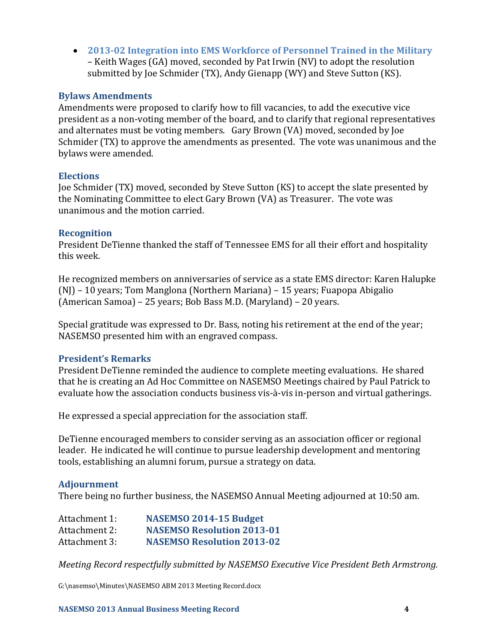**2013-02 Integration into EMS Workforce of Personnel Trained in the Military**  – Keith Wages (GA) moved, seconded by Pat Irwin (NV) to adopt the resolution submitted by Joe Schmider (TX), Andy Gienapp (WY) and Steve Sutton (KS).

#### **Bylaws Amendments**

Amendments were proposed to clarify how to fill vacancies, to add the executive vice president as a non-voting member of the board, and to clarify that regional representatives and alternates must be voting members. Gary Brown (VA) moved, seconded by Joe Schmider (TX) to approve the amendments as presented. The vote was unanimous and the bylaws were amended.

#### **Elections**

Joe Schmider (TX) moved, seconded by Steve Sutton (KS) to accept the slate presented by the Nominating Committee to elect Gary Brown (VA) as Treasurer. The vote was unanimous and the motion carried.

#### **Recognition**

President DeTienne thanked the staff of Tennessee EMS for all their effort and hospitality this week.

He recognized members on anniversaries of service as a state EMS director: Karen Halupke (NJ) – 10 years; Tom Manglona (Northern Mariana) – 15 years; Fuapopa Abigalio (American Samoa) – 25 years; Bob Bass M.D. (Maryland) – 20 years.

Special gratitude was expressed to Dr. Bass, noting his retirement at the end of the year; NASEMSO presented him with an engraved compass.

#### **President's Remarks**

President DeTienne reminded the audience to complete meeting evaluations. He shared that he is creating an Ad Hoc Committee on NASEMSO Meetings chaired by Paul Patrick to evaluate how the association conducts business vis-à-vis in-person and virtual gatherings.

He expressed a special appreciation for the association staff.

DeTienne encouraged members to consider serving as an association officer or regional leader. He indicated he will continue to pursue leadership development and mentoring tools, establishing an alumni forum, pursue a strategy on data.

#### **Adjournment**

There being no further business, the NASEMSO Annual Meeting adjourned at 10:50 am.

| Attachment 1: | NASEMSO 2014-15 Budget            |
|---------------|-----------------------------------|
| Attachment 2: | <b>NASEMSO Resolution 2013-01</b> |
| Attachment 3: | <b>NASEMSO Resolution 2013-02</b> |

*Meeting Record respectfully submitted by NASEMSO Executive Vice President Beth Armstrong.*

G:\nasemso\Minutes\NASEMSO ABM 2013 Meeting Record.docx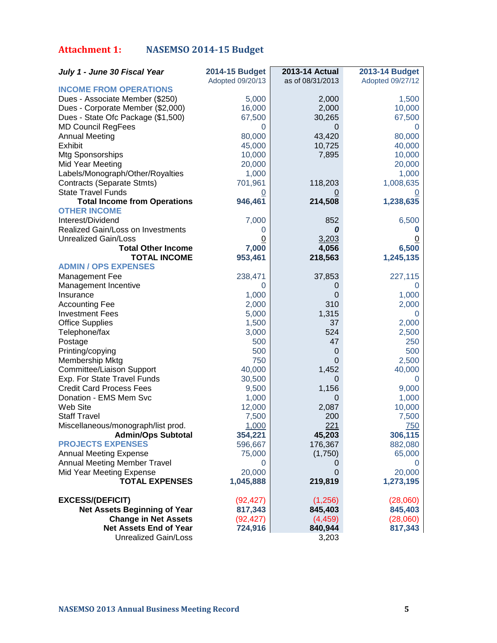# **Attachment 1: NASEMSO 2014-15 Budget**

| July 1 - June 30 Fiscal Year        | 2014-15 Budget   | 2013-14 Actual   | <b>2013-14 Budget</b> |
|-------------------------------------|------------------|------------------|-----------------------|
|                                     | Adopted 09/20/13 | as of 08/31/2013 | Adopted 09/27/12      |
| <b>INCOME FROM OPERATIONS</b>       |                  |                  |                       |
| Dues - Associate Member (\$250)     | 5,000            | 2,000            | 1,500                 |
| Dues - Corporate Member (\$2,000)   | 16,000           | 2,000            | 10,000                |
| Dues - State Ofc Package (\$1,500)  | 67,500           | 30,265           | 67,500                |
| <b>MD Council RegFees</b>           | 0                | 0                | O                     |
| <b>Annual Meeting</b>               | 80,000           | 43,420           | 80,000                |
| <b>Exhibit</b>                      | 45,000           | 10,725           | 40,000                |
| Mtg Sponsorships                    | 10,000           | 7,895            | 10,000                |
| Mid Year Meeting                    | 20,000           |                  | 20,000                |
| Labels/Monograph/Other/Royalties    | 1,000            |                  | 1,000                 |
| Contracts (Separate Stmts)          | 701,961          | 118,203          | 1,008,635             |
| <b>State Travel Funds</b>           | $\overline{0}$   |                  |                       |
| <b>Total Income from Operations</b> | 946,461          | 214,508          | 1,238,635             |
| <b>OTHER INCOME</b>                 |                  |                  |                       |
| Interest/Dividend                   | 7,000            | 852              | 6,500                 |
| Realized Gain/Loss on Investments   | 0                | 0                |                       |
| Unrealized Gain/Loss                | $\overline{0}$   | 3,203            |                       |
| <b>Total Other Income</b>           | 7,000            | 4,056            | 6,500                 |
| <b>TOTAL INCOME</b>                 | 953,461          | 218,563          | 1,245,135             |
| <b>ADMIN / OPS EXPENSES</b>         |                  |                  |                       |
| Management Fee                      | 238,471          | 37,853           | 227,115               |
| Management Incentive                | 0                | 0                | $\Omega$              |
| Insurance                           | 1,000            | $\mathbf 0$      | 1,000                 |
| <b>Accounting Fee</b>               | 2,000            | 310              | 2,000                 |
| <b>Investment Fees</b>              | 5,000            | 1,315            | $\theta$              |
| <b>Office Supplies</b>              | 1,500            | 37               | 2,000                 |
| Telephone/fax                       | 3,000            | 524              | 2,500                 |
| Postage                             | 500              | 47               | 250                   |
| Printing/copying                    | 500              | 0                | 500                   |
| Membership Mktg                     | 750              | 0                | 2,500                 |
| Committee/Liaison Support           | 40,000           | 1,452            | 40,000                |
| Exp. For State Travel Funds         | 30,500           | 0                | 0                     |
| <b>Credit Card Process Fees</b>     | 9,500            | 1,156            | 9,000                 |
| Donation - EMS Mem Svc              | 1,000            | $\mathbf 0$      | 1,000                 |
| Web Site                            | 12,000           | 2,087            | 10,000                |
| <b>Staff Travel</b>                 | 7,500            | 200              | 7,500                 |
| Miscellaneous/monograph/list prod.  | 1,000            | 221              | 750                   |
| <b>Admin/Ops Subtotal</b>           | 354,221          | 45,203           | 306,115               |
| <b>PROJECTS EXPENSES</b>            | 596,667          | 176,367          | 882,080               |
| <b>Annual Meeting Expense</b>       | 75,000           | (1,750)          | 65,000                |
| <b>Annual Meeting Member Travel</b> | 0                | O                | $\cup$                |
| Mid Year Meeting Expense            | 20,000           | $\overline{0}$   | 20,000                |
| <b>TOTAL EXPENSES</b>               | 1,045,888        | 219,819          | 1,273,195             |
| <b>EXCESS/(DEFICIT)</b>             | (92, 427)        | (1,256)          | (28,060)              |
| <b>Net Assets Beginning of Year</b> | 817,343          | 845,403          | 845,403               |
| <b>Change in Net Assets</b>         | (92, 427)        | (4, 459)         | (28,060)              |
| <b>Net Assets End of Year</b>       | 724,916          | 840,944          | 817,343               |
| <b>Unrealized Gain/Loss</b>         |                  | 3,203            |                       |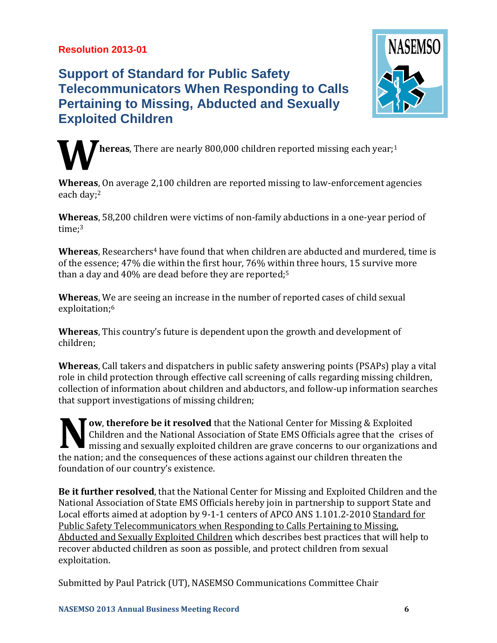# **Resolution 2013-01**

# **Support of Standard for Public Safety Telecommunicators When Responding to Calls Pertaining to Missing, Abducted and Sexually Exploited Children**



**hereas**, There are nearly 800,000 children reported missing each year;<sup>1</sup> **W**

**Whereas**, On average 2,100 children are reported missing to law-enforcement agencies each day;<sup>2</sup>

**Whereas**, 58,200 children were victims of non-family abductions in a one-year period of time:<sup>3</sup>

**Whereas**, Researchers<sup>4</sup> have found that when children are abducted and murdered, time is of the essence; 47% die within the first hour, 76% within three hours, 15 survive more than a day and 40% are dead before they are reported;<sup>5</sup>

**Whereas**, We are seeing an increase in the number of reported cases of child sexual exploitation;<sup>6</sup>

**Whereas**, This country's future is dependent upon the growth and development of children;

**Whereas**, Call takers and dispatchers in public safety answering points (PSAPs) play a vital role in child protection through effective call screening of calls regarding missing children, collection of information about children and abductors, and follow-up information searches that support investigations of missing children;

**Tow, therefore be it resolved** that the National Center for Missing & Exploited Children and the National Association of State EMS Officials agree that the crises of missing and sexually exploited children are grave concerns to our organizations and the nation; and the consequences of these actions against our children threaten the foundation of our country's existence. **N**

**Be it further resolved**, that the National Center for Missing and Exploited Children and the National Association of State EMS Officials hereby join in partnership to support State and Local efforts aimed at adoption by 9-1-1 centers of APCO ANS 1.101.2-2010 [Standard for](http://www.apcointl.org/pdf/APCO-ANS-1-101-2-2010web.pdf)  [Public Safety Telecommunicators when Responding to Calls Pertaining to Missing,](http://www.apcointl.org/pdf/APCO-ANS-1-101-2-2010web.pdf)  [Abducted and Sexually Exploited Children](http://www.apcointl.org/pdf/APCO-ANS-1-101-2-2010web.pdf) which describes best practices that will help to recover abducted children as soon as possible, and protect children from sexual exploitation.

Submitted by Paul Patrick (UT), NASEMSO Communications Committee Chair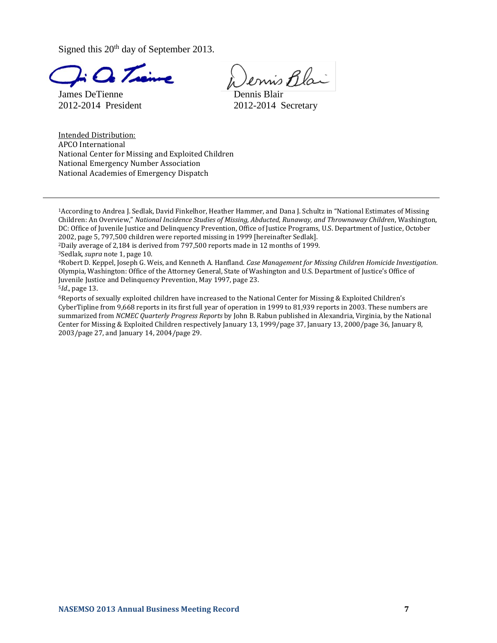Signed this  $20<sup>th</sup>$  day of September 2013.

James DeTienne **Dennis Blair** 

ennis Blai

2012-2014 President 2012-2014 Secretary

Intended Distribution: APCO International National Center for Missing and Exploited Children National Emergency Number Association National Academies of Emergency Dispatch

<sup>1</sup>According to Andrea J. Sedlak, David Finkelhor, Heather Hammer, and Dana J. Schultz in "National Estimates of Missing Children: An Overview," *National Incidence Studies of Missing, Abducted, Runaway, and Thrownaway Children*, Washington, DC: Office of Juvenile Justice and Delinquency Prevention, Office of Justice Programs, U.S. Department of Justice, October 2002, page 5, 797,500 children were reported missing in 1999 [hereinafter Sedlak].

<sup>2</sup>Daily average of 2,184 is derived from 797,500 reports made in 12 months of 1999.

<sup>4</sup>Robert D. Keppel, Joseph G. Weis, and Kenneth A. Hanfland. *Case Management for Missing Children Homicide Investigation*. Olympia, Washington: Office of the Attorney General, State of Washington and U.S. Department of Justice's Office of Juvenile Justice and Delinquency Prevention, May 1997, page 23.

<sup>5</sup>*Id*., page 13.

6Reports of sexually exploited children have increased to the National Center for Missing & Exploited Children's CyberTipline from 9,668 reports in its first full year of operation in 1999 to 81,939 reports in 2003. These numbers are summarized from *NCMEC Quarterly Progress Reports* by John B. Rabun published in Alexandria, Virginia, by the National Center for Missing & Exploited Children respectively January 13, 1999/page 37, January 13, 2000/page 36, January 8, 2003/page 27, and January 14, 2004/page 29.

<sup>3</sup>Sedlak, *supra* note 1, page 10.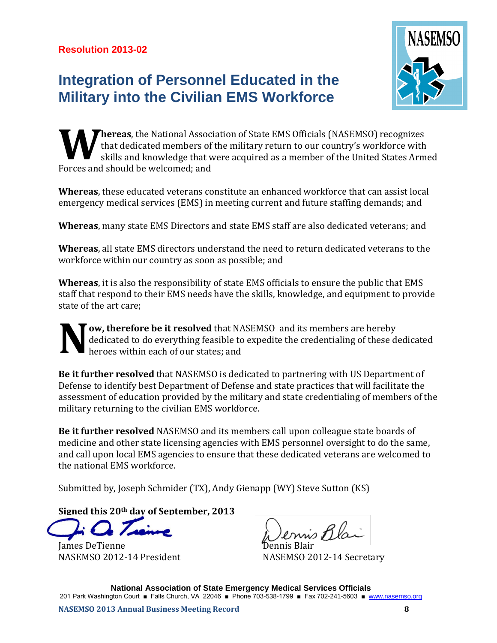# **Integration of Personnel Educated in the Military into the Civilian EMS Workforce**



**hereas**, the National Association of State EMS Officials (NASEMSO) recognizes that dedicated members of the military return to our country's workforce with skills and knowledge that were acquired as a member of the United States Armed Forces and should be welcomed; and **W**

**Whereas**, these educated veterans constitute an enhanced workforce that can assist local emergency medical services (EMS) in meeting current and future staffing demands; and

**Whereas**, many state EMS Directors and state EMS staff are also dedicated veterans; and

**Whereas**, all state EMS directors understand the need to return dedicated veterans to the workforce within our country as soon as possible; and

**Whereas**, it is also the responsibility of state EMS officials to ensure the public that EMS staff that respond to their EMS needs have the skills, knowledge, and equipment to provide state of the art care;

**ow, therefore be it resolved** that NASEMSO and its members are hereby dedicated to do everything feasible to expedite the credentialing of these dedicated heroes within each of our states; and **N**

**Be it further resolved** that NASEMSO is dedicated to partnering with US Department of Defense to identify best Department of Defense and state practices that will facilitate the assessment of education provided by the military and state credentialing of members of the military returning to the civilian EMS workforce.

**Be it further resolved** NASEMSO and its members call upon colleague state boards of medicine and other state licensing agencies with EMS personnel oversight to do the same, and call upon local EMS agencies to ensure that these dedicated veterans are welcomed to the national EMS workforce.

Submitted by, Joseph Schmider (TX), Andy Gienapp (WY) Steve Sutton (KS)

**Signed this 20th day of September, 2013**

James DeTienne NASEMSO 2012-14 President NASEMSO 2012-14 Secretary